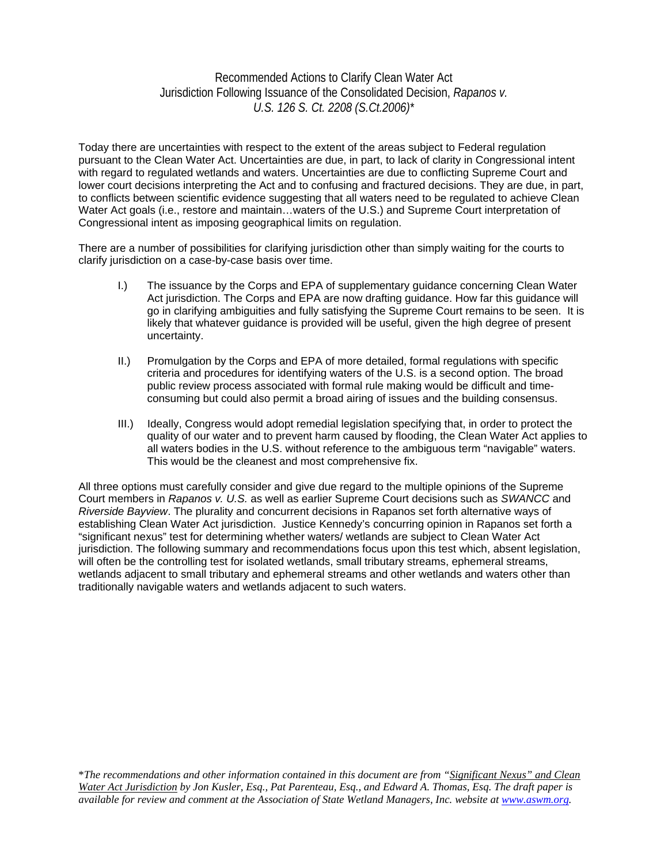## Recommended Actions to Clarify Clean Water Act Jurisdiction Following Issuance of the Consolidated Decision, *Rapanos v. U.S. 126 S. Ct. 2208 (S.Ct.2006)\**

Today there are uncertainties with respect to the extent of the areas subject to Federal regulation pursuant to the Clean Water Act. Uncertainties are due, in part, to lack of clarity in Congressional intent with regard to regulated wetlands and waters. Uncertainties are due to conflicting Supreme Court and lower court decisions interpreting the Act and to confusing and fractured decisions. They are due, in part, to conflicts between scientific evidence suggesting that all waters need to be regulated to achieve Clean Water Act goals (i.e., restore and maintain…waters of the U.S.) and Supreme Court interpretation of Congressional intent as imposing geographical limits on regulation.

There are a number of possibilities for clarifying jurisdiction other than simply waiting for the courts to clarify jurisdiction on a case-by-case basis over time.

- I.) The issuance by the Corps and EPA of supplementary guidance concerning Clean Water Act jurisdiction. The Corps and EPA are now drafting guidance. How far this guidance will go in clarifying ambiguities and fully satisfying the Supreme Court remains to be seen. It is likely that whatever guidance is provided will be useful, given the high degree of present uncertainty.
- II.) Promulgation by the Corps and EPA of more detailed, formal regulations with specific criteria and procedures for identifying waters of the U.S. is a second option. The broad public review process associated with formal rule making would be difficult and timeconsuming but could also permit a broad airing of issues and the building consensus.
- III.) Ideally, Congress would adopt remedial legislation specifying that, in order to protect the quality of our water and to prevent harm caused by flooding, the Clean Water Act applies to all waters bodies in the U.S. without reference to the ambiguous term "navigable" waters. This would be the cleanest and most comprehensive fix.

All three options must carefully consider and give due regard to the multiple opinions of the Supreme Court members in *Rapanos v. U.S.* as well as earlier Supreme Court decisions such as *SWANCC* and *Riverside Bayview*. The plurality and concurrent decisions in Rapanos set forth alternative ways of establishing Clean Water Act jurisdiction. Justice Kennedy's concurring opinion in Rapanos set forth a "significant nexus" test for determining whether waters/ wetlands are subject to Clean Water Act jurisdiction. The following summary and recommendations focus upon this test which, absent legislation, will often be the controlling test for isolated wetlands, small tributary streams, ephemeral streams, wetlands adjacent to small tributary and ephemeral streams and other wetlands and waters other than traditionally navigable waters and wetlands adjacent to such waters.

\**The recommendations and other information contained in this document are from "Significant Nexus" and Clean Water Act Jurisdiction by Jon Kusler, Esq., Pat Parenteau, Esq., and Edward A. Thomas, Esq. The draft paper is available for review and comment at the Association of State Wetland Managers, Inc. website at www.aswm.org.*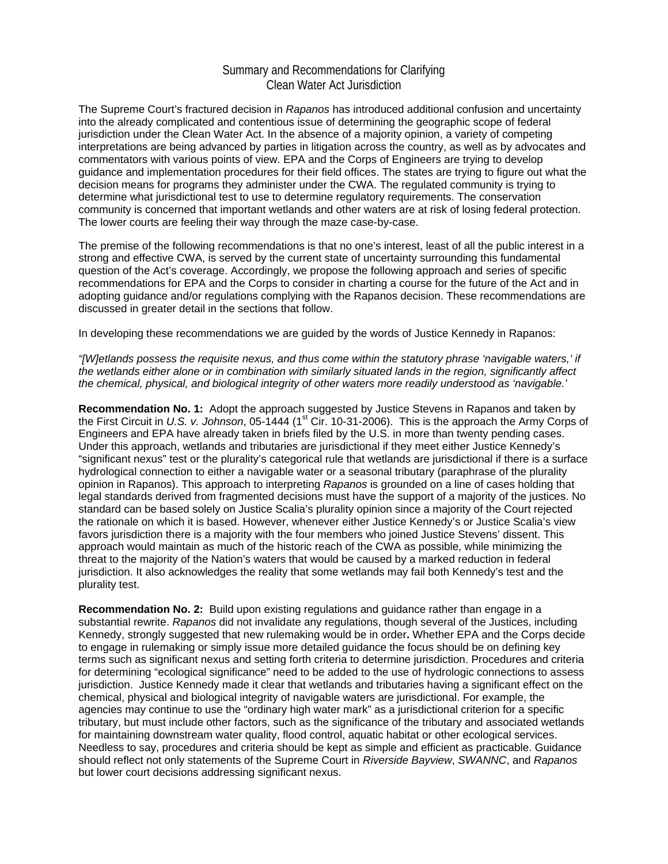## Summary and Recommendations for Clarifying Clean Water Act Jurisdiction

The Supreme Court's fractured decision in *Rapanos* has introduced additional confusion and uncertainty into the already complicated and contentious issue of determining the geographic scope of federal jurisdiction under the Clean Water Act. In the absence of a majority opinion, a variety of competing interpretations are being advanced by parties in litigation across the country, as well as by advocates and commentators with various points of view. EPA and the Corps of Engineers are trying to develop guidance and implementation procedures for their field offices. The states are trying to figure out what the decision means for programs they administer under the CWA. The regulated community is trying to determine what jurisdictional test to use to determine regulatory requirements. The conservation community is concerned that important wetlands and other waters are at risk of losing federal protection. The lower courts are feeling their way through the maze case-by-case.

The premise of the following recommendations is that no one's interest, least of all the public interest in a strong and effective CWA, is served by the current state of uncertainty surrounding this fundamental question of the Act's coverage. Accordingly, we propose the following approach and series of specific recommendations for EPA and the Corps to consider in charting a course for the future of the Act and in adopting guidance and/or regulations complying with the Rapanos decision. These recommendations are discussed in greater detail in the sections that follow.

In developing these recommendations we are guided by the words of Justice Kennedy in Rapanos:

*"[W]etlands possess the requisite nexus, and thus come within the statutory phrase 'navigable waters,' if the wetlands either alone or in combination with similarly situated lands in the region, significantly affect the chemical, physical, and biological integrity of other waters more readily understood as 'navigable.'* 

**Recommendation No. 1:** Adopt the approach suggested by Justice Stevens in Rapanos and taken by the First Circuit in U.S. v. Johnson, 05-1444 (1<sup>st</sup> Cir. 10-31-2006). This is the approach the Army Corps of Engineers and EPA have already taken in briefs filed by the U.S. in more than twenty pending cases. Under this approach, wetlands and tributaries are jurisdictional if they meet either Justice Kennedy's "significant nexus" test or the plurality's categorical rule that wetlands are jurisdictional if there is a surface hydrological connection to either a navigable water or a seasonal tributary (paraphrase of the plurality opinion in Rapanos). This approach to interpreting *Rapanos* is grounded on a line of cases holding that legal standards derived from fragmented decisions must have the support of a majority of the justices. No standard can be based solely on Justice Scalia's plurality opinion since a majority of the Court rejected the rationale on which it is based. However, whenever either Justice Kennedy's or Justice Scalia's view favors jurisdiction there is a majority with the four members who joined Justice Stevens' dissent. This approach would maintain as much of the historic reach of the CWA as possible, while minimizing the threat to the majority of the Nation's waters that would be caused by a marked reduction in federal jurisdiction. It also acknowledges the reality that some wetlands may fail both Kennedy's test and the plurality test.

**Recommendation No. 2:** Build upon existing regulations and guidance rather than engage in a substantial rewrite. *Rapanos* did not invalidate any regulations, though several of the Justices, including Kennedy, strongly suggested that new rulemaking would be in order**.** Whether EPA and the Corps decide to engage in rulemaking or simply issue more detailed guidance the focus should be on defining key terms such as significant nexus and setting forth criteria to determine jurisdiction. Procedures and criteria for determining "ecological significance" need to be added to the use of hydrologic connections to assess jurisdiction. Justice Kennedy made it clear that wetlands and tributaries having a significant effect on the chemical, physical and biological integrity of navigable waters are jurisdictional. For example, the agencies may continue to use the "ordinary high water mark" as a jurisdictional criterion for a specific tributary, but must include other factors, such as the significance of the tributary and associated wetlands for maintaining downstream water quality, flood control, aquatic habitat or other ecological services. Needless to say, procedures and criteria should be kept as simple and efficient as practicable. Guidance should reflect not only statements of the Supreme Court in *Riverside Bayview*, *SWANNC*, and *Rapanos* but lower court decisions addressing significant nexus.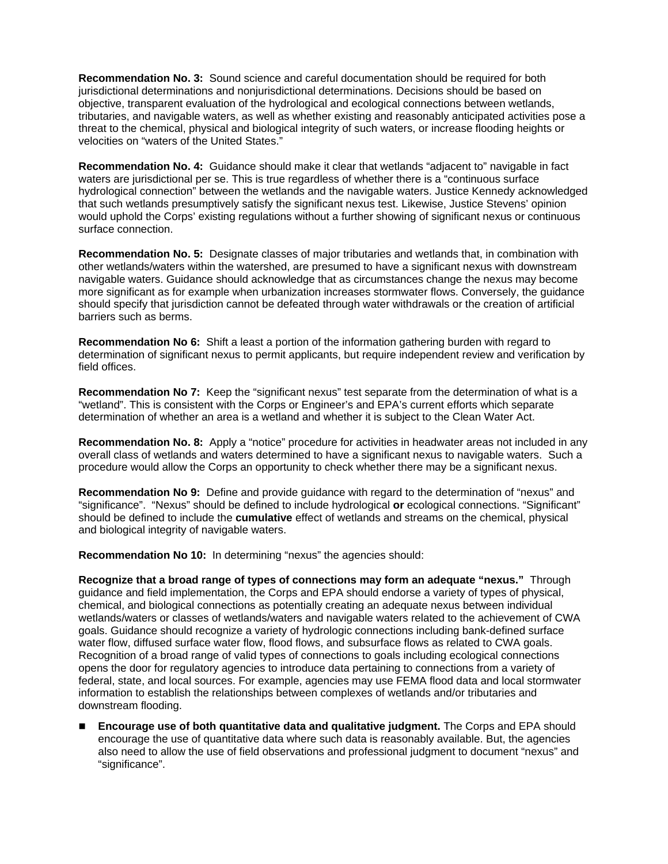**Recommendation No. 3:** Sound science and careful documentation should be required for both jurisdictional determinations and nonjurisdictional determinations. Decisions should be based on objective, transparent evaluation of the hydrological and ecological connections between wetlands, tributaries, and navigable waters, as well as whether existing and reasonably anticipated activities pose a threat to the chemical, physical and biological integrity of such waters, or increase flooding heights or velocities on "waters of the United States."

**Recommendation No. 4:** Guidance should make it clear that wetlands "adjacent to" navigable in fact waters are jurisdictional per se. This is true regardless of whether there is a "continuous surface hydrological connection" between the wetlands and the navigable waters. Justice Kennedy acknowledged that such wetlands presumptively satisfy the significant nexus test. Likewise, Justice Stevens' opinion would uphold the Corps' existing regulations without a further showing of significant nexus or continuous surface connection.

**Recommendation No. 5:** Designate classes of major tributaries and wetlands that, in combination with other wetlands/waters within the watershed, are presumed to have a significant nexus with downstream navigable waters. Guidance should acknowledge that as circumstances change the nexus may become more significant as for example when urbanization increases stormwater flows. Conversely, the guidance should specify that jurisdiction cannot be defeated through water withdrawals or the creation of artificial barriers such as berms.

**Recommendation No 6:** Shift a least a portion of the information gathering burden with regard to determination of significant nexus to permit applicants, but require independent review and verification by field offices.

**Recommendation No 7:** Keep the "significant nexus" test separate from the determination of what is a "wetland". This is consistent with the Corps or Engineer's and EPA's current efforts which separate determination of whether an area is a wetland and whether it is subject to the Clean Water Act.

**Recommendation No. 8:** Apply a "notice" procedure for activities in headwater areas not included in any overall class of wetlands and waters determined to have a significant nexus to navigable waters.Such a procedure would allow the Corps an opportunity to check whether there may be a significant nexus.

**Recommendation No 9:** Define and provide guidance with regard to the determination of "nexus" and "significance". "Nexus" should be defined to include hydrological **or** ecological connections. "Significant" should be defined to include the **cumulative** effect of wetlands and streams on the chemical, physical and biological integrity of navigable waters.

**Recommendation No 10:** In determining "nexus" the agencies should:

**Recognize that a broad range of types of connections may form an adequate "nexus."** Through guidance and field implementation, the Corps and EPA should endorse a variety of types of physical, chemical, and biological connections as potentially creating an adequate nexus between individual wetlands/waters or classes of wetlands/waters and navigable waters related to the achievement of CWA goals. Guidance should recognize a variety of hydrologic connections including bank-defined surface water flow, diffused surface water flow, flood flows, and subsurface flows as related to CWA goals. Recognition of a broad range of valid types of connections to goals including ecological connections opens the door for regulatory agencies to introduce data pertaining to connections from a variety of federal, state, and local sources. For example, agencies may use FEMA flood data and local stormwater information to establish the relationships between complexes of wetlands and/or tributaries and downstream flooding.

 **Encourage use of both quantitative data and qualitative judgment.** The Corps and EPA should encourage the use of quantitative data where such data is reasonably available. But, the agencies also need to allow the use of field observations and professional judgment to document "nexus" and "significance".